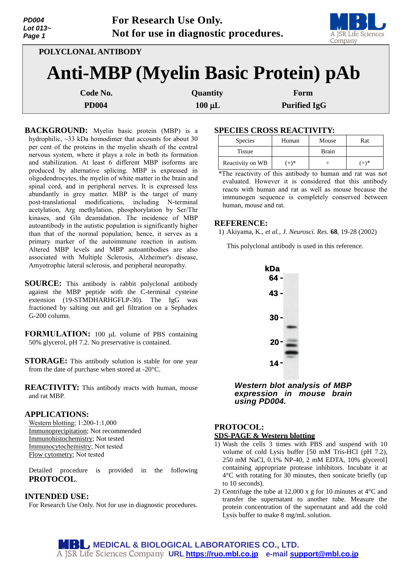| <b>PD004</b><br>Lot 013~<br>Page 1 |                     | For Research Use Only.<br>Not for use in diagnostic procedures. | A JSR Life Sciences<br>Company |
|------------------------------------|---------------------|-----------------------------------------------------------------|--------------------------------|
|                                    | POLYCLONAL ANTIBODY |                                                                 |                                |
|                                    |                     | <b>Anti-MBP (Myelin Basic Protein) pAb</b>                      |                                |
|                                    | Code No.            | Quantity                                                        | Form                           |
|                                    | <b>PD004</b>        | $100 \mu L$                                                     | <b>Purified IgG</b>            |

**BACKGROUND:** Myelin basic protein (MBP) is a hydrophilic, ~33 kDa homodimer that accounts for about 30 per cent of the proteins in the myelin sheath of the central nervous system, where it plays a role in both its formation and stabilization. At least 6 different MBP isoforms are produced by alternative splicing. MBP is expressed in oligodendrocytes, the myelin of white matter in the brain and spinal cord, and in peripheral nerves. It is expressed less abundantly in grey matter. MBP is the target of many post-translational modifications, including N-terminal acetylation, Arg methylation, phosphorylation by Ser/Thr kinases, and Gln deamidation. The incidence of MBP autoantibody in the autistic population is significantly higher than that of the normal population; hence, it serves as a primary marker of the autoimmune reaction in autism. Altered MBP levels and MBP autoantibodies are also associated with Multiple Sclerosis, Alzheimer's disease, Amyotrophic lateral sclerosis, and peripheral neuropathy.

**SOURCE:** This antibody is rabbit polyclonal antibody against the MBP peptide with the C-terminal cysteine extension (19-STMDHARHGFLP-30). The IgG was fractioned by salting out and gel filtration on a Sephadex G-200 column.

**FORMULATION:** 100 µL volume of PBS containing 50% glycerol, pH 7.2. No preservative is contained.

**STORAGE:** This antibody solution is stable for one year from the date of purchase when stored at -20°C.

**REACTIVITY:** This antibody reacts with human, mouse and rat MBP.

#### **APPLICATIONS:**

Western blotting; 1:200-1:1,000 Immunoprecipitation; Not recommended Immunohistochemistry; Not tested Immunocytochemistry; Not tested Flow cytometry; Not tested

Detailed procedure is provided in the following **PROTOCOL**.

#### **INTENDED USE:**

For Research Use Only. Not for use in diagnostic procedures.

### **SPECIES CROSS REACTIVITY:**

| <b>Species</b>   | Mouse<br>Human |       | Rat     |
|------------------|----------------|-------|---------|
| <b>Tissue</b>    |                | Brain |         |
| Reactivity on WB | $(+)$ *        |       | $(+)$ * |

\*The reactivity of this antibody to human and rat was not evaluated. However it is considered that this antibody reacts with human and rat as well as mouse because the immunogen sequence is completely conserved between human, mouse and rat.

#### **REFERENCE:**

1) Akiyama, K., *et al., J. Neurosci. Res.* **68**, 19-28 (2002)

This polyclonal antibody is used in this reference.



*Western blot analysis of MBP expression in mouse brain using PD004.*

# **PROTOCOL: SDS-PAGE & Western blotting**

- 1) Wash the cells 3 times with PBS and suspend with 10 volume of cold Lysis buffer [50 mM Tris-HCl (pH 7.2), 250 mM NaCl, 0.1% NP-40, 2 mM EDTA, 10% glycerol] containing appropriate protease inhibitors. Incubate it at 4°C with rotating for 30 minutes, then sonicate briefly (up to 10 seconds).
- 2) Centrifuge the tube at 12,000 x g for 10 minutes at 4°C and transfer the supernatant to another tube. Measure the protein concentration of the supernatant and add the cold Lysis buffer to make 8 mg/mL solution.